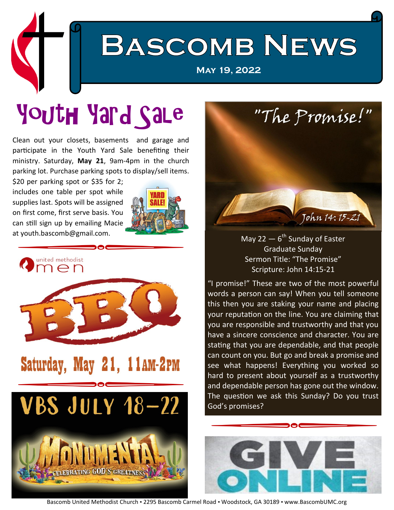

# Youth Yard Sale

Clean out your closets, basements and garage and participate in the Youth Yard Sale benefiting their ministry. Saturday, **May 21**, 9am-4pm in the church parking lot. Purchase parking spots to display/sell items.

\$20 per parking spot or \$35 for 2; includes one table per spot while supplies last. Spots will be assigned on first come, first serve basis. You can still sign up by emailing Macie at youth.bascomb@gmail.com.





### Saturday, May 21, 11AM-2PM





#### May 22  $-$  6<sup>th</sup> Sunday of Easter Graduate Sunday Sermon Title: "The Promise" Scripture: John 14:15-21

"I promise!" These are two of the most powerful words a person can say! When you tell someone this then you are staking your name and placing your reputation on the line. You are claiming that you are responsible and trustworthy and that you have a sincere conscience and character. You are stating that you are dependable, and that people can count on you. But go and break a promise and see what happens! Everything you worked so hard to present about yourself as a trustworthy and dependable person has gone out the window. The question we ask this Sunday? Do you trust God's promises?